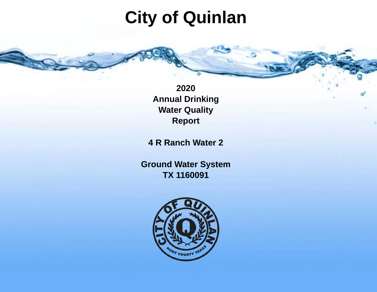# **City of Quinlan**

**2020 Annual Drinking Water Quality Report**

**4 R Ranch Water 2**

**Ground Water System TX 1160091**

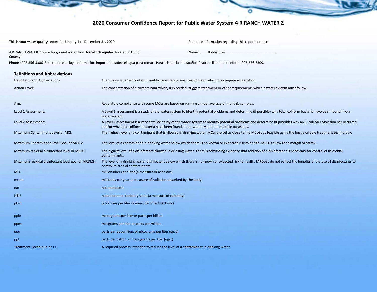# **2020 Consumer Confidence Report for Public Water System 4 R RANCH WATER 2**

۰

| This is your water quality report for January 1 to December 31, 2020                                                                                              |                                                                                                    | For more information regarding this report contact:                                                                                                                    |
|-------------------------------------------------------------------------------------------------------------------------------------------------------------------|----------------------------------------------------------------------------------------------------|------------------------------------------------------------------------------------------------------------------------------------------------------------------------|
| 4 R RANCH WATER 2 provides ground water from Nacatoch aquifer, located in Hunt<br>County.                                                                         |                                                                                                    | Name Bobby Clay                                                                                                                                                        |
| Phone : 903 356-3306 Este reporte incluye información importante sobre el agua para tomar. Para asistencia en español, favor de llamar al telefono (903)356-3309. |                                                                                                    |                                                                                                                                                                        |
| <b>Definitions and Abbreviations</b>                                                                                                                              |                                                                                                    |                                                                                                                                                                        |
| Definitions and Abbreviations                                                                                                                                     | The following tables contain scientific terms and measures, some of which may require explanation. |                                                                                                                                                                        |
| <b>Action Level:</b>                                                                                                                                              |                                                                                                    | The concentration of a contaminant which, if exceeded, triggers treatment or other requirements which a water system must follow.                                      |
| Avg:                                                                                                                                                              | Regulatory compliance with some MCLs are based on running annual average of monthly samples.       |                                                                                                                                                                        |
| Level 1 Assessment:                                                                                                                                               | water system.                                                                                      | A Level 1 assessment is a study of the water system to identify potential problems and determine (if possible) why total coliform bacteria have been found in our      |
| Level 2 Assessment:                                                                                                                                               | and/or why total coliform bacteria have been found in our water system on multiple occasions.      | A Level 2 assessment is a very detailed study of the water system to identify potential problems and determine (if possible) why an E. coli MCL violation has occurred |
| Maximum Contaminant Level or MCL:                                                                                                                                 |                                                                                                    | The highest level of a contaminant that is allowed in drinking water. MCLs are set as close to the MCLGs as feasible using the best available treatment technology.    |
| Maximum Contaminant Level Goal or MCLG:                                                                                                                           |                                                                                                    | The level of a contaminant in drinking water below which there is no known or expected risk to health. MCLGs allow for a margin of safety.                             |
| Maximum residual disinfectant level or MRDL:                                                                                                                      | contaminants.                                                                                      | The highest level of a disinfectant allowed in drinking water. There is convincing evidence that addition of a disinfectant is necessary for control of microbial      |
| Maximum residual disinfectant level goal or MRDLG:                                                                                                                | control microbial contaminants.                                                                    | The level of a drinking water disinfectant below which there is no known or expected risk to health. MRDLGs do not reflect the benefits of the use of disinfectants to |
| <b>MFL</b>                                                                                                                                                        | million fibers per liter (a measure of asbestos)                                                   |                                                                                                                                                                        |
| mrem:                                                                                                                                                             | millirems per year (a measure of radiation absorbed by the body)                                   |                                                                                                                                                                        |
| na:                                                                                                                                                               | not applicable.                                                                                    |                                                                                                                                                                        |
| <b>NTU</b>                                                                                                                                                        | nephelometric turbidity units (a measure of turbidity)                                             |                                                                                                                                                                        |
| pCi/L                                                                                                                                                             | picocuries per liter (a measure of radioactivity)                                                  |                                                                                                                                                                        |
| ppb:                                                                                                                                                              | micrograms per liter or parts per billion                                                          |                                                                                                                                                                        |
| ppm:                                                                                                                                                              | milligrams per liter or parts per million                                                          |                                                                                                                                                                        |
| ppq                                                                                                                                                               | parts per quadrillion, or picograms per liter (pg/L)                                               |                                                                                                                                                                        |
| ppt                                                                                                                                                               | parts per trillion, or nanograms per liter (ng/L)                                                  |                                                                                                                                                                        |
| Treatment Technique or TT:                                                                                                                                        | A required process intended to reduce the level of a contaminant in drinking water.                |                                                                                                                                                                        |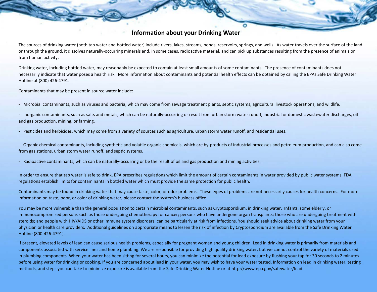### **Information about your Drinking Water**

The sources of drinking water (both tap water and botled water) include rivers, lakes, streams, ponds, reservoirs, springs, and wells. As water travels over the surface of the land or through the ground, it dissolves naturally-occurring minerals and, in some cases, radioactive material, and can pick up substances resulting from the presence of animals or from human activity.

Drinking water, including botled water, may reasonably be expected to contain at least small amounts of some contaminants. The presence of contaminants does not necessarily indicate that water poses a health risk. More information about contaminants and potential health effects can be obtained by calling the EPAs Safe Drinking Water Hotline at (800) 426-4791.

Contaminants that may be present in source water include:

- Microbial contaminants, such as viruses and bacteria, which may come from sewage treatment plants, septic systems, agricultural livestock operations, and wildlife.
- Inorganic contaminants, such as salts and metals, which can be naturally-occurring or result from urban storm water runoff, industrial or domestic wastewater discharges, oil and gas production, mining, or farming.
- Pesticides and herbicides, which may come from a variety of sources such as agriculture, urban storm water runoff, and residential uses.

- Organic chemical contaminants, including synthetic and volatile organic chemicals, which are by-products of industrial processes and petroleum production, and can also come from gas stations, urban storm water runoff, and septic systems.

- Radioactive contaminants, which can be naturally-occurring or be the result of oil and gas production and mining activities.

In order to ensure that tap water is safe to drink, EPA prescribes regulations which limit the amount of certain contaminants in water provided by public water systems. FDA regulations establish limits for contaminants in bottled water which must provide the same protection for public health.

Contaminants may be found in drinking water that may cause taste, color, or odor problems. These types of problems are not necessarily causes for health concerns. For more information on taste, odor, or color of drinking water, please contact the system's business office.

You may be more vulnerable than the general population to certain microbial contaminants, such as Cryptosporidium, in drinking water. Infants, some elderly, or immunocompromised persons such as those undergoing chemotherapy for cancer; persons who have undergone organ transplants; those who are undergoing treatment with steroids; and people with HIV/AIDS or other immune system disorders, can be particularly at risk from infections. You should seek advice about drinking water from your physician or health care providers. Additional guidelines on appropriate means to lessen the risk of infection by Cryptosporidium are available from the Safe Drinking Water Hotline (800-426-4791).

If present, elevated levels of lead can cause serious health problems, especially for pregnant women and young children. Lead in drinking water is primarily from materials and components associated with service lines and home plumbing. We are responsible for providing high quality drinking water, but we cannot control the variety of materials used in plumbing components. When your water has been sitting for several hours, you can minimize the potential for lead exposure by flushing your tap for 30 seconds to 2 minutes before using water for drinking or cooking. If you are concerned about lead in your water, you may wish to have your water tested. Information on lead in drinking water, testing methods, and steps you can take to minimize exposure is available from the Safe Drinking Water Hotline or at htp://www.epa.gov/safewater/lead.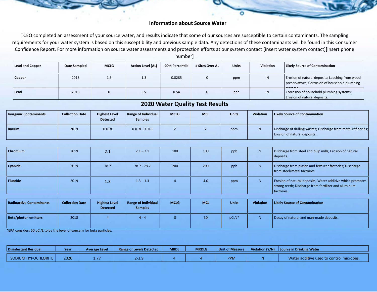#### **Information about Source Water**

TCEQ completed an assessment of your source water, and results indicate that some of our sources are susceptible to certain contaminants. The sampling requirements for your water system is based on this susceptibility and previous sample data. Any detections of these contaminants will be found in this Consumer Confidence Report. For more information on source water assessments and protection efforts at our system contact [insert water system contact][insert phone

number]

| Lead and Copper | <b>Date Sampled</b> | <b>MCLG</b> | <b>Action Level (AL)</b> | 90th Percentile | # Sites Over AL | <b>Units</b> | <b>Violation</b> | Likely Source of Contamination                                                                    |
|-----------------|---------------------|-------------|--------------------------|-----------------|-----------------|--------------|------------------|---------------------------------------------------------------------------------------------------|
| Copper          | 2018                | دند         | 1.3                      | 0.0285          |                 | ppm          | N                | Erosion of natural deposits; Leaching from wood<br>preservatives; Corrosion of household plumbing |
| Lead            | 2018                |             | 15                       | 0.54            |                 | ppb          | N.               | Corrosion of household plumbing systems;<br>Erosion of natural deposits.                          |

## **2020 Water Quality Test Results**

| <b>Inorganic Contaminants</b> | <b>Collection Date</b> | <b>Highest Level</b><br><b>Detected</b> | Range of Individual<br><b>Samples</b> | <b>MCLG</b> | <b>MCL</b> | <b>Units</b> | <b>Violation</b> | <b>Likely Source of Contamination</b>                                                                                     |
|-------------------------------|------------------------|-----------------------------------------|---------------------------------------|-------------|------------|--------------|------------------|---------------------------------------------------------------------------------------------------------------------------|
| <b>Barium</b>                 | 2019                   | 0.018                                   | $0.018 - 0.018$                       |             |            | ppm          |                  | Discharge of drilling wastes; Discharge from metal refineries;<br><b>Expedience Figure 1</b> Erosion of natural deposits. |

| Chromium        | 2019 | 2.1  | $2.1 - 2.1$   | 100 | 100 | ppb | N  | Discharge from steel and pulp mills; Erosion of natural<br>deposits.                                                             |
|-----------------|------|------|---------------|-----|-----|-----|----|----------------------------------------------------------------------------------------------------------------------------------|
| Cyanide         | 2019 | 78.7 | $78.7 - 78.7$ | 200 | 200 | ppb | N. | Discharge from plastic and fertilizer factories; Discharge<br>from steel/metal factories.                                        |
| <b>Fluoride</b> | 2019 | 1.3  | $1.3 - 1.3$   |     | 4.0 | ppm | N. | Erosion of natural deposits; Water additive which promotes<br>strong teeth; Discharge from fertilizer and aluminum<br>factories. |

| Radioactive Contaminants    | <b>Collection Date</b> | <b>Highest Level</b><br><b>Detected</b> | Range of Individual<br><b>Samples</b> | <b>MCLG</b> | <b>MCL</b> | <b>Units</b> | <b>Violation</b> | Likely Source of Contamination          |
|-----------------------------|------------------------|-----------------------------------------|---------------------------------------|-------------|------------|--------------|------------------|-----------------------------------------|
| <b>Beta/photon emitters</b> | 2018                   |                                         | $4 - 4$                               |             | 50.        | pCi/L*       |                  | Decay of natural and man-made deposits. |

\*EPA considers 50 pCi/L to be the level of concern for beta par�cles.

| Disinfectant Residual | <b>Year</b> | Average Level | <b>Range of Levels Detected</b> | <b>MRDL</b> | <b>MRDLG</b> | Unit of Measure  | Violation $(Y/N)$ Source in Drinking Water |
|-----------------------|-------------|---------------|---------------------------------|-------------|--------------|------------------|--------------------------------------------|
| SODIUM HYPOCHLORITE   | 2020        | .             | 3.J . 2                         |             |              | PPN <sub>1</sub> | Water additive used to control microbes.   |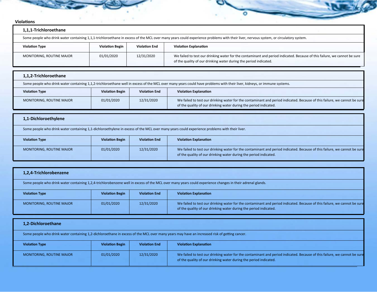| 1,1,1-Trichloroethane                                                                                                                                                                |                        |                      |                                                                                                                                                                                                |  |  |  |
|--------------------------------------------------------------------------------------------------------------------------------------------------------------------------------------|------------------------|----------------------|------------------------------------------------------------------------------------------------------------------------------------------------------------------------------------------------|--|--|--|
| Some people who drink water containing 1,1,1-trichloroethane in excess of the MCL over many years could experience problems with their liver, nervous system, or circulatory system. |                        |                      |                                                                                                                                                                                                |  |  |  |
| <b>Violation Type</b>                                                                                                                                                                | <b>Violation Begin</b> | <b>Violation End</b> | <b>Violation Explanation</b>                                                                                                                                                                   |  |  |  |
| MONITORING, ROUTINE MAJOR                                                                                                                                                            | 01/01/2020             | 12/31/2020           | We failed to test our drinking water for the contaminant and period indicated. Because of this failure, we cannot be sure<br>of the quality of our drinking water during the period indicated. |  |  |  |

|                       | 1,1,2-Trichloroethane                                                                                                                                                    |                        |                      |                                                                                                                                                                                                |  |  |  |  |  |
|-----------------------|--------------------------------------------------------------------------------------------------------------------------------------------------------------------------|------------------------|----------------------|------------------------------------------------------------------------------------------------------------------------------------------------------------------------------------------------|--|--|--|--|--|
|                       | Some people who drink water containing 1,1,2-trichloroethane well in excess of the MCL over many years could have problems with their liver, kidneys, or immune systems. |                        |                      |                                                                                                                                                                                                |  |  |  |  |  |
| <b>Violation Type</b> |                                                                                                                                                                          | <b>Violation Begin</b> | <b>Violation End</b> | <b>Violation Explanation</b>                                                                                                                                                                   |  |  |  |  |  |
|                       | MONITORING, ROUTINE MAJOR                                                                                                                                                | 01/01/2020             | 12/31/2020           | We failed to test our drinking water for the contaminant and period indicated. Because of this failure, we cannot be sure<br>of the quality of our drinking water during the period indicated. |  |  |  |  |  |

| 1,1-Dichloroethylene                                                                                                                         |                        |                      |                                                                                                                                                                                                |  |  |  |  |  |
|----------------------------------------------------------------------------------------------------------------------------------------------|------------------------|----------------------|------------------------------------------------------------------------------------------------------------------------------------------------------------------------------------------------|--|--|--|--|--|
| Some people who drink water containing 1,1-dichloroethylene in excess of the MCL over many years could experience problems with their liver. |                        |                      |                                                                                                                                                                                                |  |  |  |  |  |
| <b>Violation Type</b>                                                                                                                        | <b>Violation Begin</b> | <b>Violation End</b> | <b>Violation Explanation</b>                                                                                                                                                                   |  |  |  |  |  |
| MONITORING, ROUTINE MAJOR                                                                                                                    | 01/01/2020             | 12/31/2020           | We failed to test our drinking water for the contaminant and period indicated. Because of this failure, we cannot be sure<br>of the quality of our drinking water during the period indicated. |  |  |  |  |  |

| 1,2,4-Trichlorobenzene                                                                                                                                    |                        |                      |                                                                                                                                                                                                |  |  |  |  |  |
|-----------------------------------------------------------------------------------------------------------------------------------------------------------|------------------------|----------------------|------------------------------------------------------------------------------------------------------------------------------------------------------------------------------------------------|--|--|--|--|--|
| Some people who drink water containing 1,2,4-trichlorobenzene well in excess of the MCL over many years could experience changes in their adrenal glands. |                        |                      |                                                                                                                                                                                                |  |  |  |  |  |
| <b>Violation Type</b>                                                                                                                                     | <b>Violation Begin</b> | <b>Violation End</b> | <b>Violation Explanation</b>                                                                                                                                                                   |  |  |  |  |  |
| <b>MONITORING, ROUTINE MAJOR</b>                                                                                                                          | 01/01/2020             | 12/31/2020           | We failed to test our drinking water for the contaminant and period indicated. Because of this failure, we cannot be sure<br>of the quality of our drinking water during the period indicated. |  |  |  |  |  |
| 1.2-Dichloroethane                                                                                                                                        |                        |                      |                                                                                                                                                                                                |  |  |  |  |  |

| Some people who drink water containing 1,2-dichloroethane in excess of the MCL over many years may have an increased risk of getting cancer. |                        |                      |                                                                                                                                                                                                |  |  |  |  |
|----------------------------------------------------------------------------------------------------------------------------------------------|------------------------|----------------------|------------------------------------------------------------------------------------------------------------------------------------------------------------------------------------------------|--|--|--|--|
| <b>Violation Type</b>                                                                                                                        | <b>Violation Begin</b> | <b>Violation End</b> | <b>Violation Explanation</b>                                                                                                                                                                   |  |  |  |  |
| <b>MONITORING, ROUTINE MAJOR</b>                                                                                                             | 01/01/2020             | 12/31/2020           | We failed to test our drinking water for the contaminant and period indicated. Because of this failure, we cannot be sure<br>of the quality of our drinking water during the period indicated. |  |  |  |  |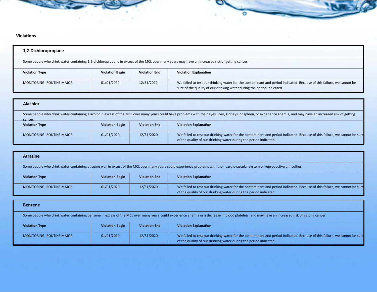| 1,2-Dichloropropane       |                                                                                                                                               |                      |                                                                                                                                                                                                |  |  |  |  |  |  |
|---------------------------|-----------------------------------------------------------------------------------------------------------------------------------------------|----------------------|------------------------------------------------------------------------------------------------------------------------------------------------------------------------------------------------|--|--|--|--|--|--|
|                           | Some people who drink water containing 1,2-dichloropropane in excess of the MCL over many years may have an increased risk of getting cancer. |                      |                                                                                                                                                                                                |  |  |  |  |  |  |
| <b>Violation Type</b>     | <b>Violation Begin</b>                                                                                                                        | <b>Violation End</b> | <b>Violation Explanation</b>                                                                                                                                                                   |  |  |  |  |  |  |
| MONITORING, ROUTINE MAJOR | 01/01/2020                                                                                                                                    | 12/31/2020           | We failed to test our drinking water for the contaminant and period indicated. Because of this failure, we cannot be<br>sure of the quality of our drinking water during the period indicated. |  |  |  |  |  |  |

| <b>Alachlor</b>                                                                                                                                                                                                                 |                        |                      |                                                                                                                                                                                                |  |  |
|---------------------------------------------------------------------------------------------------------------------------------------------------------------------------------------------------------------------------------|------------------------|----------------------|------------------------------------------------------------------------------------------------------------------------------------------------------------------------------------------------|--|--|
| Some people who drink water containing alachlor in excess of the MCL over many years could have problems with their eyes, liver, kidneys, or spleen, or experience anemia, and may have an increased risk of getting<br>cancer. |                        |                      |                                                                                                                                                                                                |  |  |
| <b>Violation Type</b>                                                                                                                                                                                                           | <b>Violation Begin</b> | <b>Violation End</b> | <b>Violation Explanation</b>                                                                                                                                                                   |  |  |
| MONITORING, ROUTINE MAJOR                                                                                                                                                                                                       | 01/01/2020             | 12/31/2020           | We failed to test our drinking water for the contaminant and period indicated. Because of this failure, we cannot be sure<br>of the quality of our drinking water during the period indicated. |  |  |

| <b>Atrazine</b>                                                                                                                                                                    |                        |                      |                                                                                                                                                                                                |  |  |
|------------------------------------------------------------------------------------------------------------------------------------------------------------------------------------|------------------------|----------------------|------------------------------------------------------------------------------------------------------------------------------------------------------------------------------------------------|--|--|
| Some people who drink water containing atrazine well in excess of the MCL over many years could experience problems with their cardiovascular system or reproductive difficulties. |                        |                      |                                                                                                                                                                                                |  |  |
| <b>Violation Type</b>                                                                                                                                                              | <b>Violation Begin</b> | <b>Violation End</b> | <b>Violation Explanation</b>                                                                                                                                                                   |  |  |
| MONITORING, ROUTINE MAJOR                                                                                                                                                          | 01/01/2020             | 12/31/2020           | We failed to test our drinking water for the contaminant and period indicated. Because of this failure, we cannot be sure<br>of the quality of our drinking water during the period indicated. |  |  |

| <b>Benzene</b>                                                                                                                                                                                  |                        |                      |                                                                                                                                                                                                |  |  |
|-------------------------------------------------------------------------------------------------------------------------------------------------------------------------------------------------|------------------------|----------------------|------------------------------------------------------------------------------------------------------------------------------------------------------------------------------------------------|--|--|
| Some people who drink water containing benzene in excess of the MCL over many years could experience anemia or a decrease in blood platelets, and may have an increased risk of getting cancer. |                        |                      |                                                                                                                                                                                                |  |  |
| <b>Violation Type</b>                                                                                                                                                                           | <b>Violation Begin</b> | <b>Violation End</b> | <b>Violation Explanation</b>                                                                                                                                                                   |  |  |
| <b>MONITORING, ROUTINE MAJOR</b>                                                                                                                                                                | 01/01/2020             | 12/31/2020           | We failed to test our drinking water for the contaminant and period indicated. Because of this failure, we cannot be sure<br>of the quality of our drinking water during the period indicated. |  |  |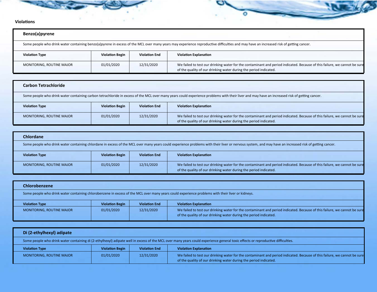| Benzo(a)pyrene                                                                                                                                                                        |                        |                      |                                                                                                                                                                                                |  |  |
|---------------------------------------------------------------------------------------------------------------------------------------------------------------------------------------|------------------------|----------------------|------------------------------------------------------------------------------------------------------------------------------------------------------------------------------------------------|--|--|
| Some people who drink water containing benzo(a)pyrene in excess of the MCL over many years may experience reproductive difficulties and may have an increased risk of getting cancer. |                        |                      |                                                                                                                                                                                                |  |  |
| <b>Violation Type</b>                                                                                                                                                                 | <b>Violation Begin</b> | <b>Violation End</b> | <b>Violation Explanation</b>                                                                                                                                                                   |  |  |
| MONITORING, ROUTINE MAJOR                                                                                                                                                             | 01/01/2020             | 12/31/2020           | We failed to test our drinking water for the contaminant and period indicated. Because of this failure, we cannot be sure<br>of the quality of our drinking water during the period indicated. |  |  |

| <b>Carbon Tetrachloride</b>                                                                                                                                                                   |                        |                      |                                                                                                                                                                                                |  |
|-----------------------------------------------------------------------------------------------------------------------------------------------------------------------------------------------|------------------------|----------------------|------------------------------------------------------------------------------------------------------------------------------------------------------------------------------------------------|--|
| Some people who drink water containing carbon tetrachloride in excess of the MCL over many years could experience problems with their liver and may have an increased risk of getting cancer. |                        |                      |                                                                                                                                                                                                |  |
| <b>Violation Type</b>                                                                                                                                                                         | <b>Violation Begin</b> | <b>Violation End</b> | <b>Violation Explanation</b>                                                                                                                                                                   |  |
| MONITORING, ROUTINE MAJOR                                                                                                                                                                     | 01/01/2020             | 12/31/2020           | We failed to test our drinking water for the contaminant and period indicated. Because of this failure, we cannot be sure<br>of the quality of our drinking water during the period indicated. |  |

| <b>Chlordane</b>                                                                                                                                                                                      |                        |                      |                                                                                                                                                                                                |  |  |
|-------------------------------------------------------------------------------------------------------------------------------------------------------------------------------------------------------|------------------------|----------------------|------------------------------------------------------------------------------------------------------------------------------------------------------------------------------------------------|--|--|
| Some people who drink water containing chlordane in excess of the MCL over many years could experience problems with their liver or nervous system, and may have an increased risk of getting cancer. |                        |                      |                                                                                                                                                                                                |  |  |
| <b>Violation Type</b>                                                                                                                                                                                 | <b>Violation Begin</b> | <b>Violation End</b> | <b>Violation Explanation</b>                                                                                                                                                                   |  |  |
| MONITORING, ROUTINE MAJOR                                                                                                                                                                             | 01/01/2020             | 12/31/2020           | We failed to test our drinking water for the contaminant and period indicated. Because of this failure, we cannot be sure<br>of the quality of our drinking water during the period indicated. |  |  |

| Chlorobenzene                                                                                                                                    |                        |                      |                                                                                                                                                                                                |  |  |
|--------------------------------------------------------------------------------------------------------------------------------------------------|------------------------|----------------------|------------------------------------------------------------------------------------------------------------------------------------------------------------------------------------------------|--|--|
| Some people who drink water containing chlorobenzene in excess of the MCL over many years could experience problems with their liver or kidneys. |                        |                      |                                                                                                                                                                                                |  |  |
| <b>Violation Type</b>                                                                                                                            | <b>Violation Begin</b> | <b>Violation End</b> | <b>Violation Explanation</b>                                                                                                                                                                   |  |  |
| <b>MONITORING, ROUTINE MAJOR</b>                                                                                                                 | 01/01/2020             | 12/31/2020           | We failed to test our drinking water for the contaminant and period indicated. Because of this failure, we cannot be sure<br>of the quality of our drinking water during the period indicated. |  |  |

| Di (2-ethylhexyl) adipate                                                                                                                                                       |                        |                      |                                                                                                                                                                                                |  |
|---------------------------------------------------------------------------------------------------------------------------------------------------------------------------------|------------------------|----------------------|------------------------------------------------------------------------------------------------------------------------------------------------------------------------------------------------|--|
| Some people who drink water containing di (2-ethylhexyl) adipate well in excess of the MCL over many years could experience general toxic effects or reproductive difficulties. |                        |                      |                                                                                                                                                                                                |  |
| <b>Violation Type</b>                                                                                                                                                           | <b>Violation Begin</b> | <b>Violation End</b> | <b>Violation Explanation</b>                                                                                                                                                                   |  |
| MONITORING, ROUTINE MAJOR                                                                                                                                                       | 01/01/2020             | 12/31/2020           | We failed to test our drinking water for the contaminant and period indicated. Because of this failure, we cannot be sure<br>of the quality of our drinking water during the period indicated. |  |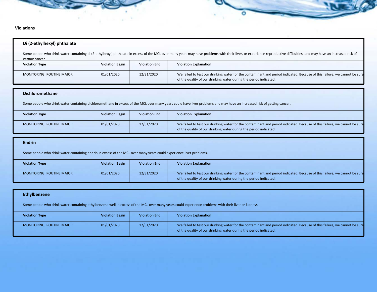| Di (2-ethylhexyl) phthalate                                                                                                                                                                                                               |                        |                      |                                                                                                                                                                                                |  |
|-------------------------------------------------------------------------------------------------------------------------------------------------------------------------------------------------------------------------------------------|------------------------|----------------------|------------------------------------------------------------------------------------------------------------------------------------------------------------------------------------------------|--|
| Some people who drink water containing di (2-ethylhexyl) phthalate in excess of the MCL over many years may have problems with their liver, or experience reproductive difficulties, and may have an increased risk of<br>getting cancer. |                        |                      |                                                                                                                                                                                                |  |
| <b>Violation Type</b>                                                                                                                                                                                                                     | <b>Violation Begin</b> | <b>Violation End</b> | <b>Violation Explanation</b>                                                                                                                                                                   |  |
| MONITORING, ROUTINE MAJOR                                                                                                                                                                                                                 | 01/01/2020             | 12/31/2020           | We failed to test our drinking water for the contaminant and period indicated. Because of this failure, we cannot be sure<br>of the quality of our drinking water during the period indicated. |  |

| <b>Dichloromethane</b>                                                                                                                                                  |                        |                      |                                                                                                                                                                                                |  |  |
|-------------------------------------------------------------------------------------------------------------------------------------------------------------------------|------------------------|----------------------|------------------------------------------------------------------------------------------------------------------------------------------------------------------------------------------------|--|--|
| Some people who drink water containing dichloromethane in excess of the MCL over many years could have liver problems and may have an increased risk of getting cancer. |                        |                      |                                                                                                                                                                                                |  |  |
| <b>Violation Type</b>                                                                                                                                                   | <b>Violation Begin</b> | <b>Violation End</b> | <b>Violation Explanation</b>                                                                                                                                                                   |  |  |
| MONITORING, ROUTINE MAJOR                                                                                                                                               | 01/01/2020             | 12/31/2020           | We failed to test our drinking water for the contaminant and period indicated. Because of this failure, we cannot be sure<br>of the quality of our drinking water during the period indicated. |  |  |

| <b>Endrin</b>                                                                                                       |                        |                      |                                                                                                                                                                                                |  |
|---------------------------------------------------------------------------------------------------------------------|------------------------|----------------------|------------------------------------------------------------------------------------------------------------------------------------------------------------------------------------------------|--|
| Some people who drink water containing endrin in excess of the MCL over many years could experience liver problems. |                        |                      |                                                                                                                                                                                                |  |
| <b>Violation Type</b>                                                                                               | <b>Violation Begin</b> | <b>Violation End</b> | <b>Violation Explanation</b>                                                                                                                                                                   |  |
| <b>MONITORING, ROUTINE MAJOR</b>                                                                                    | 01/01/2020             | 12/31/2020           | We failed to test our drinking water for the contaminant and period indicated. Because of this failure, we cannot be sure<br>of the quality of our drinking water during the period indicated. |  |

| Ethylbenzene                                                                                                                                         |                        |                      |                                                                                                                                                                                                |  |
|------------------------------------------------------------------------------------------------------------------------------------------------------|------------------------|----------------------|------------------------------------------------------------------------------------------------------------------------------------------------------------------------------------------------|--|
| Some people who drink water containing ethylbenzene well in excess of the MCL over many years could experience problems with their liver or kidneys. |                        |                      |                                                                                                                                                                                                |  |
| <b>Violation Type</b>                                                                                                                                | <b>Violation Begin</b> | <b>Violation End</b> | <b>Violation Explanation</b>                                                                                                                                                                   |  |
| <b>MONITORING, ROUTINE MAJOR</b>                                                                                                                     | 01/01/2020             | 12/31/2020           | We failed to test our drinking water for the contaminant and period indicated. Because of this failure, we cannot be sure<br>of the quality of our drinking water during the period indicated. |  |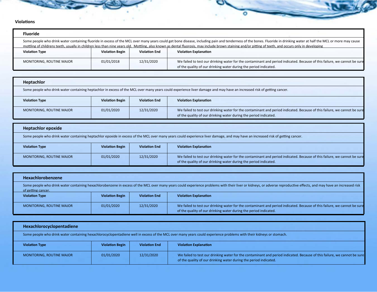| <b>Fluoride</b>                                                                                                                                                                                                                                                                                                                                                                                                                 |                        |                      |                                                                                                                                                                                                |  |  |
|---------------------------------------------------------------------------------------------------------------------------------------------------------------------------------------------------------------------------------------------------------------------------------------------------------------------------------------------------------------------------------------------------------------------------------|------------------------|----------------------|------------------------------------------------------------------------------------------------------------------------------------------------------------------------------------------------|--|--|
| Some people who drink water containing fluoride in excess of the MCL over many years could get bone disease, including pain and tenderness of the bones. Fluoride in drinking water at half the MCL or more may cause<br>mottling of childrens teeth, usually in children less than nine years old. Mottling, also known as dental fluorosis, may include brown staining and/or pitting of teeth, and occurs only in developing |                        |                      |                                                                                                                                                                                                |  |  |
| <b>Violation Type</b>                                                                                                                                                                                                                                                                                                                                                                                                           | <b>Violation Begin</b> | <b>Violation End</b> | <b>Violation Explanation</b>                                                                                                                                                                   |  |  |
| MONITORING, ROUTINE MAJOR                                                                                                                                                                                                                                                                                                                                                                                                       | 01/01/2018             | 12/31/2020           | We failed to test our drinking water for the contaminant and period indicated. Because of this failure, we cannot be sure<br>of the quality of our drinking water during the period indicated. |  |  |

| <b>Heptachlor</b>                                                                                                                                                      |                        |                      |                                                                                                                                                                                                |  |  |
|------------------------------------------------------------------------------------------------------------------------------------------------------------------------|------------------------|----------------------|------------------------------------------------------------------------------------------------------------------------------------------------------------------------------------------------|--|--|
| Some people who drink water containing heptachlor in excess of the MCL over many years could experience liver damage and may have an increased risk of getting cancer. |                        |                      |                                                                                                                                                                                                |  |  |
| <b>Violation Type</b>                                                                                                                                                  | <b>Violation Begin</b> | <b>Violation End</b> | <b>Violation Explanation</b>                                                                                                                                                                   |  |  |
| MONITORING, ROUTINE MAJOR                                                                                                                                              | 01/01/2020             | 12/31/2020           | We failed to test our drinking water for the contaminant and period indicated. Because of this failure, we cannot be sure<br>of the quality of our drinking water during the period indicated. |  |  |

| <b>Heptachlor epoxide</b>                                                                                                                                                       |                        |                      |                                                                                                                                                                                                |  |  |
|---------------------------------------------------------------------------------------------------------------------------------------------------------------------------------|------------------------|----------------------|------------------------------------------------------------------------------------------------------------------------------------------------------------------------------------------------|--|--|
| Some people who drink water containing heptachlor epoxide in excess of the MCL over many years could experience liver damage, and may have an increased risk of getting cancer. |                        |                      |                                                                                                                                                                                                |  |  |
| <b>Violation Type</b>                                                                                                                                                           | <b>Violation Begin</b> | <b>Violation End</b> | <b>Violation Explanation</b>                                                                                                                                                                   |  |  |
| MONITORING, ROUTINE MAJOR                                                                                                                                                       | 01/01/2020             | 12/31/2020           | We failed to test our drinking water for the contaminant and period indicated. Because of this failure, we cannot be sure<br>of the quality of our drinking water during the period indicated. |  |  |

| <b>Hexachlorobenzene</b>                                                                                                                                                                                                                   |                        |                      |                                                                                                                                                                                                |  |
|--------------------------------------------------------------------------------------------------------------------------------------------------------------------------------------------------------------------------------------------|------------------------|----------------------|------------------------------------------------------------------------------------------------------------------------------------------------------------------------------------------------|--|
| Some people who drink water containing hexachlorobenzene in excess of the MCL over many years could experience problems with their liver or kidneys, or adverse reproductive effects, and may have an increased risk<br>of getting cancer. |                        |                      |                                                                                                                                                                                                |  |
| <b>Violation Type</b>                                                                                                                                                                                                                      | <b>Violation Begin</b> | <b>Violation End</b> | <b>Violation Explanation</b>                                                                                                                                                                   |  |
| <b>MONITORING, ROUTINE MAJOR</b>                                                                                                                                                                                                           | 01/01/2020             | 12/31/2020           | We failed to test our drinking water for the contaminant and period indicated. Because of this failure, we cannot be sure<br>of the quality of our drinking water during the period indicated. |  |

| Hexachlorocyclopentadiene                                                                                                                                           |                        |                      |                                                                                                                                                                                                |  |
|---------------------------------------------------------------------------------------------------------------------------------------------------------------------|------------------------|----------------------|------------------------------------------------------------------------------------------------------------------------------------------------------------------------------------------------|--|
| Some people who drink water containing hexachlorocyclopentadiene well in excess of the MCL over many years could experience problems with their kidneys or stomach. |                        |                      |                                                                                                                                                                                                |  |
| <b>Violation Type</b>                                                                                                                                               | <b>Violation Begin</b> | <b>Violation End</b> | <b>Violation Explanation</b>                                                                                                                                                                   |  |
| <b>MONITORING, ROUTINE MAJOR</b>                                                                                                                                    | 01/01/2020             | 12/31/2020           | We failed to test our drinking water for the contaminant and period indicated. Because of this failure, we cannot be sure<br>of the quality of our drinking water during the period indicated. |  |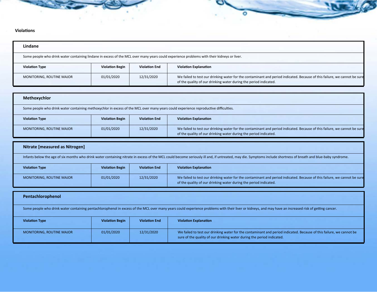| <b>Lindane</b>                                                                                                                             |                        |                      |                                                                                                                                                                                                |  |  |  |
|--------------------------------------------------------------------------------------------------------------------------------------------|------------------------|----------------------|------------------------------------------------------------------------------------------------------------------------------------------------------------------------------------------------|--|--|--|
| Some people who drink water containing lindane in excess of the MCL over many years could experience problems with their kidneys or liver. |                        |                      |                                                                                                                                                                                                |  |  |  |
| <b>Violation Type</b>                                                                                                                      | <b>Violation Begin</b> | <b>Violation End</b> | <b>Violation Explanation</b>                                                                                                                                                                   |  |  |  |
| MONITORING, ROUTINE MAJOR                                                                                                                  | 01/01/2020             | 12/31/2020           | We failed to test our drinking water for the contaminant and period indicated. Because of this failure, we cannot be sure<br>of the quality of our drinking water during the period indicated. |  |  |  |

| Methoxychlor                                                                                                                         |                        |                      |                                                                                                                                                                                                |  |  |
|--------------------------------------------------------------------------------------------------------------------------------------|------------------------|----------------------|------------------------------------------------------------------------------------------------------------------------------------------------------------------------------------------------|--|--|
| Some people who drink water containing methoxychlor in excess of the MCL over many years could experience reproductive difficulties. |                        |                      |                                                                                                                                                                                                |  |  |
| <b>Violation Type</b>                                                                                                                | <b>Violation Begin</b> | <b>Violation End</b> | <b>Violation Explanation</b>                                                                                                                                                                   |  |  |
| MONITORING, ROUTINE MAJOR                                                                                                            | 01/01/2020             | 12/31/2020           | We failed to test our drinking water for the contaminant and period indicated. Because of this failure, we cannot be sure<br>of the quality of our drinking water during the period indicated. |  |  |

| Nitrate [measured as Nitrogen]                                                                                                                                                                                  |                        |                      |                                                                                                                                                                                                |  |
|-----------------------------------------------------------------------------------------------------------------------------------------------------------------------------------------------------------------|------------------------|----------------------|------------------------------------------------------------------------------------------------------------------------------------------------------------------------------------------------|--|
| Infants below the age of six months who drink water containing nitrate in excess of the MCL could become seriously ill and, if untreated, may die. Symptoms include shortness of breath and blue-baby syndrome. |                        |                      |                                                                                                                                                                                                |  |
| <b>Violation Type</b>                                                                                                                                                                                           | <b>Violation Begin</b> | <b>Violation End</b> | <b>Violation Explanation</b>                                                                                                                                                                   |  |
| MONITORING, ROUTINE MAJOR                                                                                                                                                                                       | 01/01/2020             | 12/31/2020           | We failed to test our drinking water for the contaminant and period indicated. Because of this failure, we cannot be sure<br>of the quality of our drinking water during the period indicated. |  |
|                                                                                                                                                                                                                 |                        |                      |                                                                                                                                                                                                |  |

| Pentachlorophenol                                                                                                                                                                                      |                        |                      |                                                                                                                                                                                                |  |  |  |
|--------------------------------------------------------------------------------------------------------------------------------------------------------------------------------------------------------|------------------------|----------------------|------------------------------------------------------------------------------------------------------------------------------------------------------------------------------------------------|--|--|--|
| Some people who drink water containing pentachlorophenol in excess of the MCL over many years could experience problems with their liver or kidneys, and may have an increased risk of getting cancer. |                        |                      |                                                                                                                                                                                                |  |  |  |
| <b>Violation Type</b>                                                                                                                                                                                  | <b>Violation Begin</b> | <b>Violation End</b> | <b>Violation Explanation</b>                                                                                                                                                                   |  |  |  |
| <b>MONITORING, ROUTINE MAJOR</b>                                                                                                                                                                       | 01/01/2020             | 12/31/2020           | We failed to test our drinking water for the contaminant and period indicated. Because of this failure, we cannot be<br>sure of the quality of our drinking water during the period indicated. |  |  |  |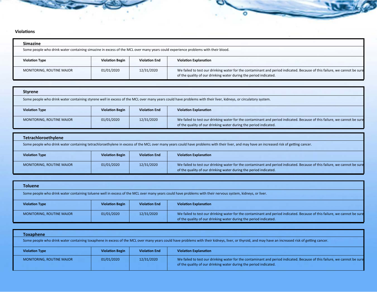| <b>Simazine</b>                                                                                                                  |                        |                      |                                                                                                                                                                                                |  |
|----------------------------------------------------------------------------------------------------------------------------------|------------------------|----------------------|------------------------------------------------------------------------------------------------------------------------------------------------------------------------------------------------|--|
| Some people who drink water containing simazine in excess of the MCL over many years could experience problems with their blood. |                        |                      |                                                                                                                                                                                                |  |
| <b>Violation Type</b>                                                                                                            | <b>Violation Begin</b> | <b>Violation End</b> | <b>Violation Explanation</b>                                                                                                                                                                   |  |
| MONITORING, ROUTINE MAJOR                                                                                                        | 01/01/2020             | 12/31/2020           | We failed to test our drinking water for the contaminant and period indicated. Because of this failure, we cannot be sure<br>of the quality of our drinking water during the period indicated. |  |

| <b>Styrene</b>                                                                                                                                                 |                        |                      |                                                                                                                                                                                                |  |
|----------------------------------------------------------------------------------------------------------------------------------------------------------------|------------------------|----------------------|------------------------------------------------------------------------------------------------------------------------------------------------------------------------------------------------|--|
| Some people who drink water containing styrene well in excess of the MCL over many years could have problems with their liver, kidneys, or circulatory system. |                        |                      |                                                                                                                                                                                                |  |
| <b>Violation Type</b>                                                                                                                                          | <b>Violation Begin</b> | <b>Violation End</b> | <b>Violation Explanation</b>                                                                                                                                                                   |  |
| MONITORING, ROUTINE MAJOR                                                                                                                                      | 01/01/2020             | 12/31/2020           | We failed to test our drinking water for the contaminant and period indicated. Because of this failure, we cannot be sure<br>of the quality of our drinking water during the period indicated. |  |

| <b>Tetrachloroethylene</b>                                                                                                                                                              |                        |                      |                                                                                                                                                                                                |  |  |
|-----------------------------------------------------------------------------------------------------------------------------------------------------------------------------------------|------------------------|----------------------|------------------------------------------------------------------------------------------------------------------------------------------------------------------------------------------------|--|--|
| Some people who drink water containing tetrachloroethylene in excess of the MCL over many years could have problems with their liver, and may have an increased risk of getting cancer. |                        |                      |                                                                                                                                                                                                |  |  |
| <b>Violation Type</b>                                                                                                                                                                   | <b>Violation Begin</b> | <b>Violation End</b> | <b>Violation Explanation</b>                                                                                                                                                                   |  |  |
| MONITORING, ROUTINE MAJOR                                                                                                                                                               | 01/01/2020             | 12/31/2020           | We failed to test our drinking water for the contaminant and period indicated. Because of this failure, we cannot be sure<br>of the quality of our drinking water during the period indicated. |  |  |

| <b>Toluene</b>                                                                                                                                             |                        |                      |                                                                                                                                                                                                |  |
|------------------------------------------------------------------------------------------------------------------------------------------------------------|------------------------|----------------------|------------------------------------------------------------------------------------------------------------------------------------------------------------------------------------------------|--|
| Some people who drink water containing toluene well in excess of the MCL over many years could have problems with their nervous system, kidneys, or liver. |                        |                      |                                                                                                                                                                                                |  |
| <b>Violation Type</b>                                                                                                                                      | <b>Violation Begin</b> | <b>Violation End</b> | <b>Violation Explanation</b>                                                                                                                                                                   |  |
| <b>MONITORING, ROUTINE MAJOR</b>                                                                                                                           | 01/01/2020             | 12/31/2020           | We failed to test our drinking water for the contaminant and period indicated. Because of this failure, we cannot be sure<br>of the quality of our drinking water during the period indicated. |  |

| Toxaphene                                                                                                                                                                                          |                        |                      |                                                                                                                                                                                                |  |
|----------------------------------------------------------------------------------------------------------------------------------------------------------------------------------------------------|------------------------|----------------------|------------------------------------------------------------------------------------------------------------------------------------------------------------------------------------------------|--|
| Some people who drink water containing toxaphene in excess of the MCL over many years could have problems with their kidneys, liver, or thyroid, and may have an increased risk of getting cancer. |                        |                      |                                                                                                                                                                                                |  |
| <b>Violation Type</b>                                                                                                                                                                              | <b>Violation Begin</b> | <b>Violation End</b> | <b>Violation Explanation</b>                                                                                                                                                                   |  |
| <b>MONITORING, ROUTINE MAJOR</b>                                                                                                                                                                   | 01/01/2020             | 12/31/2020           | We failed to test our drinking water for the contaminant and period indicated. Because of this failure, we cannot be sure<br>of the quality of our drinking water during the period indicated. |  |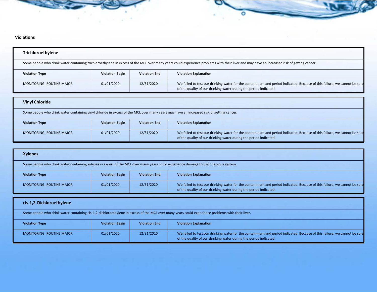| Trichloroethylene         |                                                                                                                                                                                            |                      |                                                                                                                                                                                                |  |  |
|---------------------------|--------------------------------------------------------------------------------------------------------------------------------------------------------------------------------------------|----------------------|------------------------------------------------------------------------------------------------------------------------------------------------------------------------------------------------|--|--|
|                           | Some people who drink water containing trichloroethylene in excess of the MCL over many years could experience problems with their liver and may have an increased risk of getting cancer. |                      |                                                                                                                                                                                                |  |  |
| <b>Violation Type</b>     | <b>Violation Begin</b>                                                                                                                                                                     | <b>Violation End</b> | <b>Violation Explanation</b>                                                                                                                                                                   |  |  |
| MONITORING, ROUTINE MAJOR | 01/01/2020                                                                                                                                                                                 | 12/31/2020           | We failed to test our drinking water for the contaminant and period indicated. Because of this failure, we cannot be sure<br>of the quality of our drinking water during the period indicated. |  |  |
| <b>Vinyl Chloride</b>     |                                                                                                                                                                                            |                      |                                                                                                                                                                                                |  |  |

۰

Some people who drink water containing vinyl chloride in excess of the MCL over many years may have an increased risk of getting cancer.

| <b>Violation Type</b>            | <b>Violation Begin</b> | <b>Violation End</b> | <b>Violation Explanation</b>                                                                                                                                                                   |
|----------------------------------|------------------------|----------------------|------------------------------------------------------------------------------------------------------------------------------------------------------------------------------------------------|
| <b>MONITORING, ROUTINE MAJOR</b> | 01/01/2020             | 12/31/2020           | We failed to test our drinking water for the contaminant and period indicated. Because of this failure, we cannot be sure<br>of the quality of our drinking water during the period indicated. |

| <b>Xylenes</b>                                                                                                                       |                        |                      |                                                                                                                                                                                                |  |
|--------------------------------------------------------------------------------------------------------------------------------------|------------------------|----------------------|------------------------------------------------------------------------------------------------------------------------------------------------------------------------------------------------|--|
| Some people who drink water containing xylenes in excess of the MCL over many years could experience damage to their nervous system. |                        |                      |                                                                                                                                                                                                |  |
| <b>Violation Type</b>                                                                                                                | <b>Violation Begin</b> | <b>Violation End</b> | <b>Violation Explanation</b>                                                                                                                                                                   |  |
| <b>MONITORING, ROUTINE MAJOR</b>                                                                                                     | 01/01/2020             | 12/31/2020           | We failed to test our drinking water for the contaminant and period indicated. Because of this failure, we cannot be sure<br>of the quality of our drinking water during the period indicated. |  |

| cis-1,2-Dichloroethylene                                                                                                                         |                        |                      |                                                                                                                                                                                                |  |
|--------------------------------------------------------------------------------------------------------------------------------------------------|------------------------|----------------------|------------------------------------------------------------------------------------------------------------------------------------------------------------------------------------------------|--|
| Some people who drink water containing cis-1,2-dichloroethylene in excess of the MCL over many years could experience problems with their liver. |                        |                      |                                                                                                                                                                                                |  |
| <b>Violation Type</b>                                                                                                                            | <b>Violation Begin</b> | <b>Violation End</b> | <b>Violation Explanation</b>                                                                                                                                                                   |  |
| <b>MONITORING, ROUTINE MAJOR</b>                                                                                                                 | 01/01/2020             | 12/31/2020           | We failed to test our drinking water for the contaminant and period indicated. Because of this failure, we cannot be sure<br>of the quality of our drinking water during the period indicated. |  |